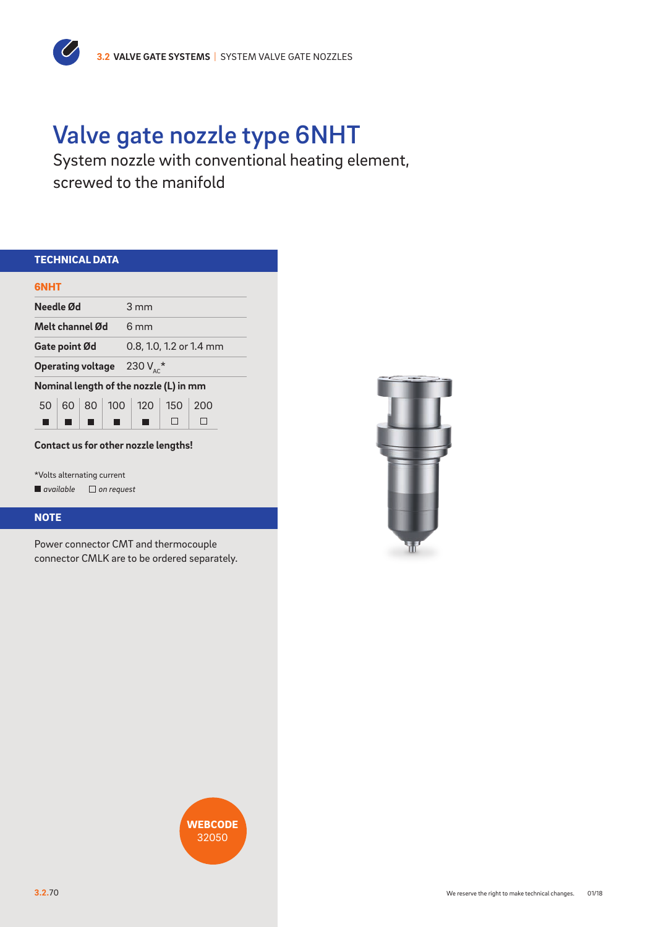# Valve gate nozzle type 6NHT

System nozzle with conventional heating element, screwed to the manifold

| <b>TECHNICAL DATA</b>                      |                                        |  |  |  |  |  |
|--------------------------------------------|----------------------------------------|--|--|--|--|--|
| <b>GNHT</b>                                |                                        |  |  |  |  |  |
| Needle Ød                                  | $3 \text{ mm}$                         |  |  |  |  |  |
| Melt channel Ød                            | $6 \text{ mm}$                         |  |  |  |  |  |
| Gate point Ød                              | 0.8, 1.0, 1.2 or 1.4 mm                |  |  |  |  |  |
| 230 $V_{AC}$ *<br><b>Operating voltage</b> |                                        |  |  |  |  |  |
|                                            | Nominal length of the nozzle (L) in mm |  |  |  |  |  |
| 50 <sup>2</sup>                            | 60   80   100   120   150<br>200       |  |  |  |  |  |
|                                            |                                        |  |  |  |  |  |

## **Contact us for other nozzle lengths!**

\*Volts alternating current *available on request*

 $\overline{C}$ 

### **NOTE**

Power connector CMT and thermocouple connector CMLK are to be ordered separately.



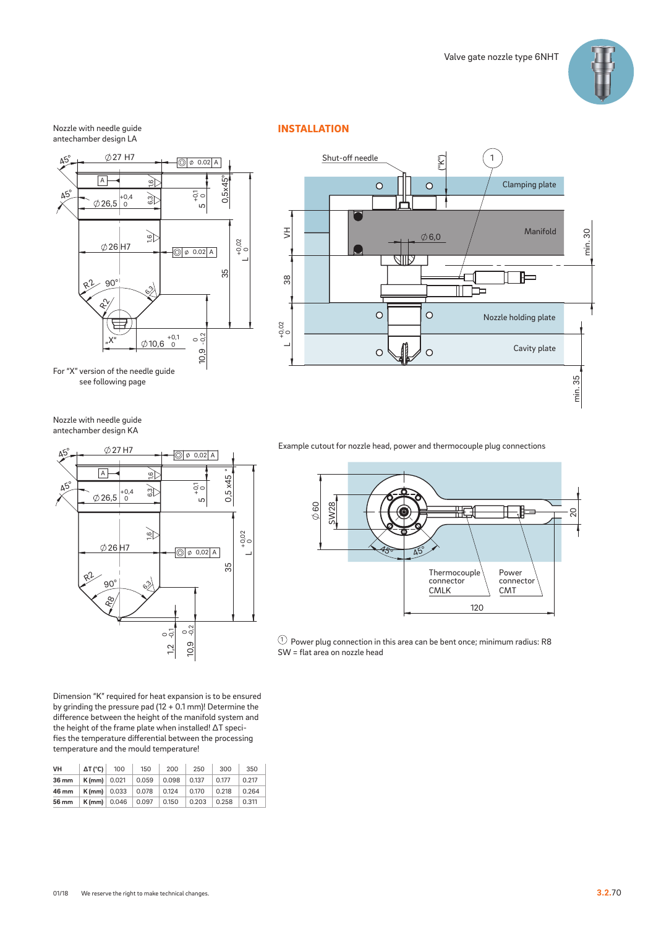

### Nozzle with needle guide antechamber design LA



For "X" version of the needle guide see following page

Nozzle with needle guide antechamber design KA



Dimension "K" required for heat expansion is to be ensured by grinding the pressure pad (12 + 0.1 mm)! Determine the difference between the height of the manifold system and the height of the frame plate when installed! ∆T specifies the temperature differential between the processing temperature and the mould temperature!

| VH    | $\Delta T$ (°C)   100       |                                | 150   | 200   | 250   | 300   | 350   |
|-------|-----------------------------|--------------------------------|-------|-------|-------|-------|-------|
| 36 mm | $K$ (mm) 0.021              |                                | 0.059 | 0.098 | 0.137 | 0.177 | 0.217 |
| 46 mm | <b>K</b> (mm) $\vert$ 0.033 |                                | 0.078 | 0.124 | 0.170 | 0.218 | 0.264 |
| 56 mm |                             | $K$ (mm) $\vert$ 0.046 $\vert$ | 0.097 | 0.150 | 0.203 | 0.258 | 0.311 |

## INSTALLATION



Example cutout for nozzle head, power and thermocouple plug connections



 $10$  Power plug connection in this area can be bent once; minimum radius: R8 SW = flat area on nozzle head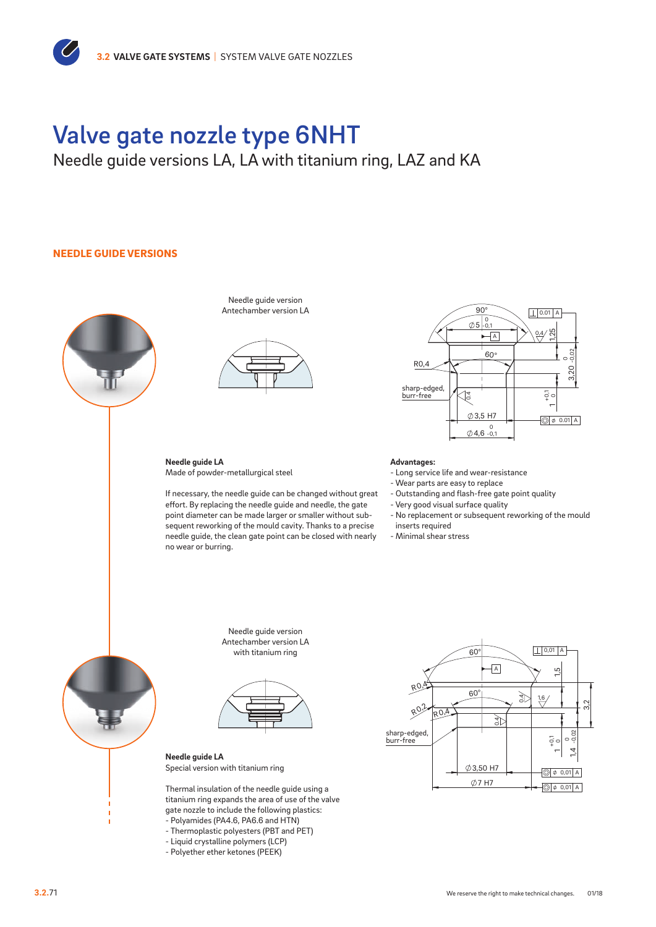# Valve gate nozzle type 6NHT

# Needle guide versions LA, LA with titanium ring, LAZ and KA

### NEEDLE GUIDE VERSIONS



Needle guide version Antechamber version LA



**Needle guide LA** Made of powder-metallurgical steel

no wear or burring. If necessary, the needle guide can be changed without great effort. By replacing the needle guide and needle, the gate point diameter can be made larger or smaller without subsequent reworking of the mould cavity. Thanks to a precise needle guide, the clean gate point can be closed with nearly



### **Advantages:**

- Long service life and wear-resistance

- Wear parts are easy to replace
- Outstanding and flash-free gate point quality
- Very good visual surface quality
- No replacement or subsequent reworking of the mould inserts required
- Minimal shear stress



0,01 A

Needle quide version Antechamber version LA with titanium ring



**Needle guide LA** Special version with titanium ring

Thermal insulation of the needle guide using a titanium ring expands the area of use of the valve gate nozzle to include the following plastics:

- Polyamides (PA4.6, PA6.6 and HTN) - Thermoplastic polyesters (PBT and PET)
- Liquid crystalline polymers (LCP)
- 
- Polyether ether ketones (PEEK)